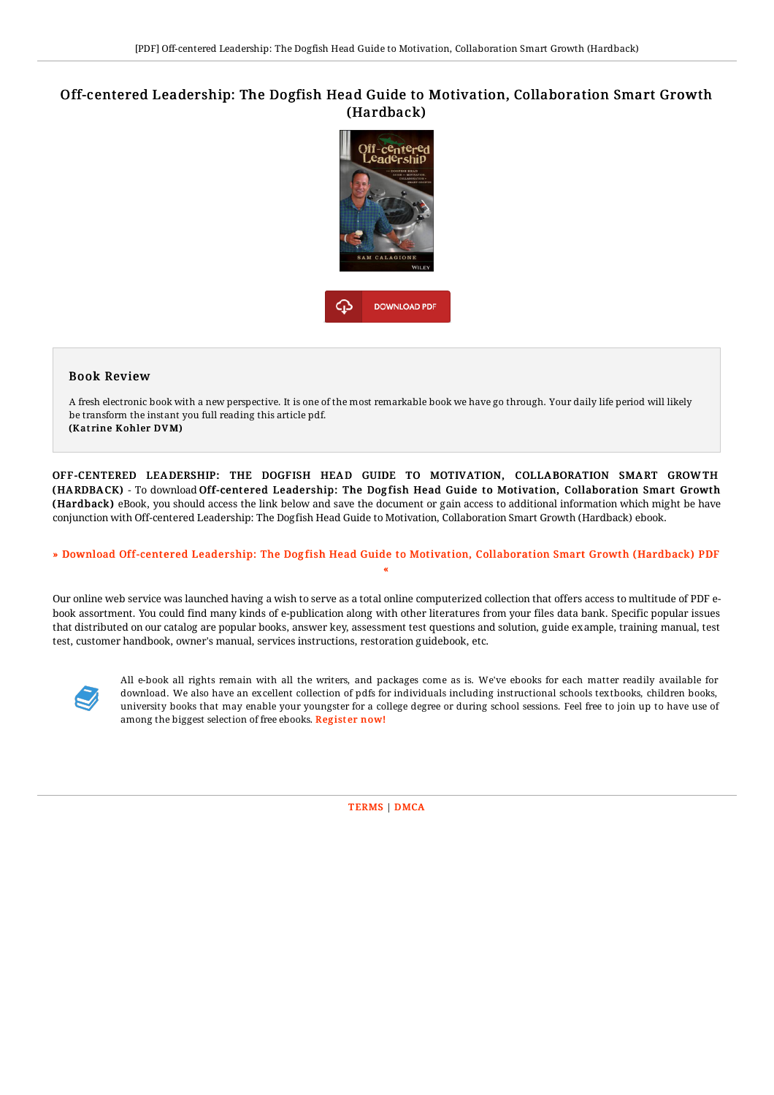## Off-centered Leadership: The Dogfish Head Guide to Motivation, Collaboration Smart Growth (Hardback)



## Book Review

A fresh electronic book with a new perspective. It is one of the most remarkable book we have go through. Your daily life period will likely be transform the instant you full reading this article pdf. (Katrine Kohler DVM)

OFF-CENTERED LEADERSHIP: THE DOGFISH HEAD GUIDE TO MOTIVATION, COLLABORATION SMART GROWTH (HARDBACK) - To download Off-centered Leadership: The Dogfish Head Guide to Motivation, Collaboration Smart Growth (Hardback) eBook, you should access the link below and save the document or gain access to additional information which might be have conjunction with Off-centered Leadership: The Dogfish Head Guide to Motivation, Collaboration Smart Growth (Hardback) ebook.

## » Download Off-centered Leadership: The Dogfish Head Guide to Motivation, [Collaboration](http://digilib.live/off-centered-leadership-the-dogfish-head-guide-t.html) Smart Growth (Hardback) PDF «

Our online web service was launched having a wish to serve as a total online computerized collection that offers access to multitude of PDF ebook assortment. You could find many kinds of e-publication along with other literatures from your files data bank. Specific popular issues that distributed on our catalog are popular books, answer key, assessment test questions and solution, guide example, training manual, test test, customer handbook, owner's manual, services instructions, restoration guidebook, etc.



All e-book all rights remain with all the writers, and packages come as is. We've ebooks for each matter readily available for download. We also have an excellent collection of pdfs for individuals including instructional schools textbooks, children books, university books that may enable your youngster for a college degree or during school sessions. Feel free to join up to have use of among the biggest selection of free ebooks. [Regist](http://digilib.live/off-centered-leadership-the-dogfish-head-guide-t.html)er now!